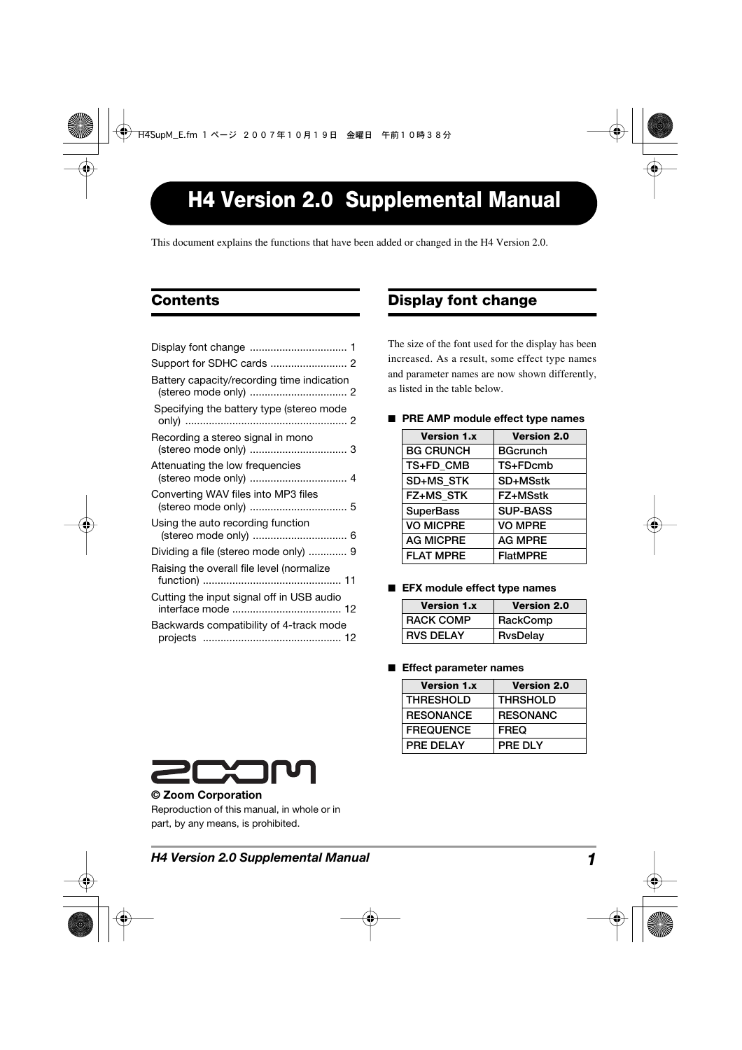# **H4 Version 2.0 Supplemental Manual**

This document explains the functions that have been added or changed in the H4 Version 2.0.

# **Contents**

| Battery capacity/recording time indication               |
|----------------------------------------------------------|
| Specifying the battery type (stereo mode                 |
| Recording a stereo signal in mono                        |
| Attenuating the low frequencies<br>(stereo mode only)  4 |
| Converting WAV files into MP3 files                      |
| Using the auto recording function                        |
| Dividing a file (stereo mode only)  9                    |
| Raising the overall file level (normalize                |
| Cutting the input signal off in USB audio                |
| Backwards compatibility of 4-track mode                  |
|                                                          |

## **Display font change**

The size of the font used for the display has been increased. As a result, some effect type names and parameter names are now shown differently, as listed in the table below.

- **Version 1.x Version 2.0 BG CRUNCH BGcrunch TS+FD\_CMB TS+FDcmb SD+MS\_STK SD+MSstk FZ+MS\_STK FZ+MSstk** SuperBass | SUP-BASS **VO MICPRE VO MPRE AG MICPRE AG MPRE FLAT MPRE FlatMPRE**
- **PRE AMP** module effect type names

■ **EFX** module effect type names

| <b>Version 1.x</b> | <b>Version 2.0</b> |
|--------------------|--------------------|
| RACK COMP          | RackComp           |
| <b>RVS DELAY</b>   | <b>RysDelay</b>    |

#### ■ **Effect parameter names**

| <b>Version 1.x</b> | <b>Version 2.0</b> |
|--------------------|--------------------|
| <b>THRESHOLD</b>   | <b>THRSHOLD</b>    |
| <b>RESONANCE</b>   | <b>RESONANC</b>    |
| <b>FREQUENCE</b>   | <b>FREQ</b>        |
| PRE DELAY          | PRE DLY            |



#### **© Zoom Corporation**

Reproduction of this manual, in whole or in part, by any means, is prohibited.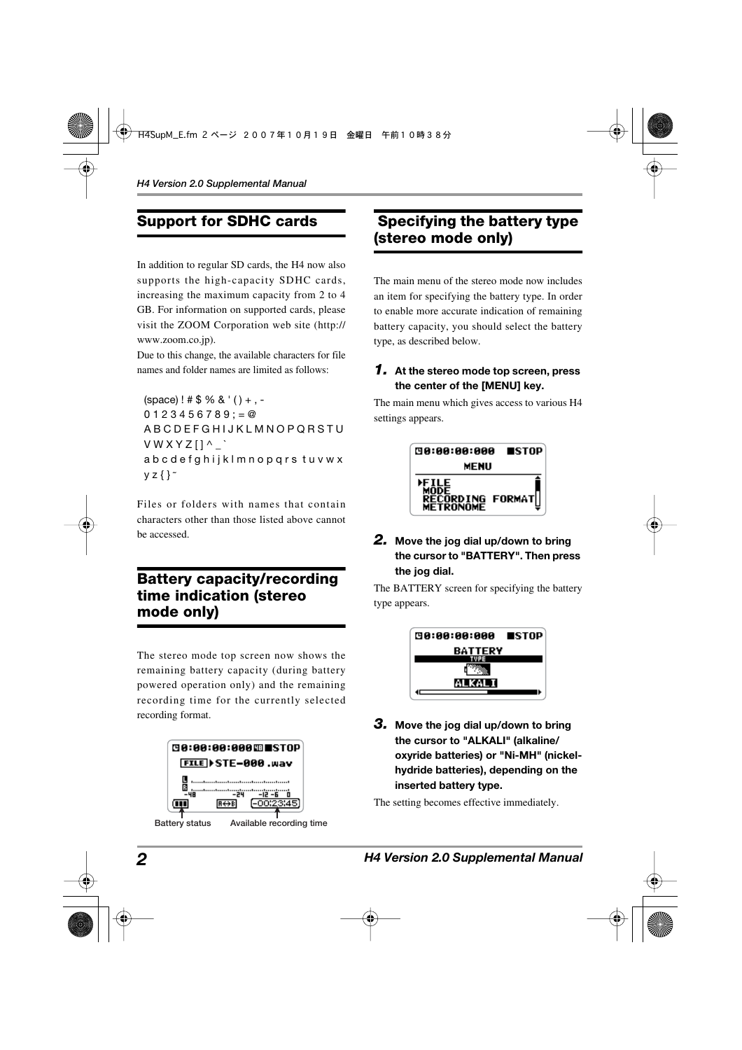# **Support for SDHC cards**

In addition to regular SD cards, the H4 now also supports the high-capacity SDHC cards, increasing the maximum capacity from 2 to 4 GB. For information on supported cards, please visit the ZOOM Corporation web site (http:// www.zoom.co.jp).

Due to this change, the available characters for file names and folder names are limited as follows:

 $(space)$ ! # \$ % & '() +, - $0123456789 := \textcircled{2}$ A B C D E F G H I J K L M N O P Q R S T U V W X Y Z [ ] ^ \_ ` a b c d e f g h i j k l m n o p q r s t u v w x  $yz$  { }  $\tilde{z}$ 

Files or folders with names that contain characters other than those listed above cannot be accessed.

### **Battery capacity/recording time indication (stereo mode only)**

The stereo mode top screen now shows the remaining battery capacity (during battery powered operation only) and the remaining recording time for the currently selected recording format.

|                | <b>@8:88:88:888⊞■STOP</b>            |  |  |
|----------------|--------------------------------------|--|--|
|                | FILE > STE-000 .wav                  |  |  |
|                | <br>-24<br>-12 -6                    |  |  |
|                | [-00:23:45]<br>$B \leftrightarrow B$ |  |  |
| Battery status | Available recording time             |  |  |

## **Specifying the battery type (stereo mode only)**

The main menu of the stereo mode now includes an item for specifying the battery type. In order to enable more accurate indication of remaining battery capacity, you should select the battery type, as described below.

#### *1.* **At the stereo mode top screen, press the center of the [MENU] key.**

The main menu which gives access to various H4 settings appears.



*2.* **Move the jog dial up/down to bring the cursor to "BATTERY". Then press the jog dial.** 

The BATTERY screen for specifying the battery type appears.



*3.* **Move the jog dial up/down to bring the cursor to "ALKALI" (alkaline/ oxyride batteries) or "Ni-MH" (nickelhydride batteries), depending on the inserted battery type.** 

The setting becomes effective immediately.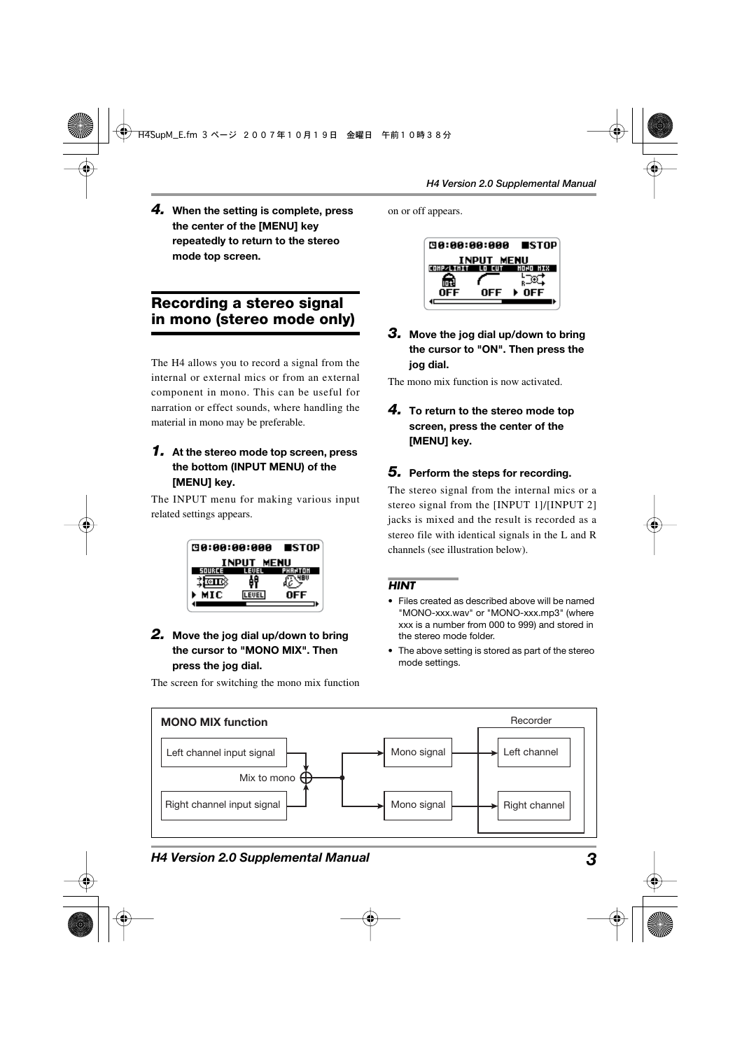*4.* **When the setting is complete, press the center of the [MENU] key repeatedly to return to the stereo mode top screen.** 

### **Recording a stereo signal in mono (stereo mode only)**

The H4 allows you to record a signal from the internal or external mics or from an external component in mono. This can be useful for narration or effect sounds, where handling the material in mono may be preferable.

#### *1.* **At the stereo mode top screen, press the bottom (INPUT MENU) of the [MENU] key.**

The INPUT menu for making various input related settings appears.



#### *2.* **Move the jog dial up/down to bring the cursor to "MONO MIX". Then press the jog dial.**

The screen for switching the mono mix function

on or off appears.



*3.* **Move the jog dial up/down to bring the cursor to "ON". Then press the jog dial.** 

The mono mix function is now activated.

*4.* **To return to the stereo mode top screen, press the center of the [MENU] key.** 

#### *5.* **Perform the steps for recording.**

The stereo signal from the internal mics or a stereo signal from the [INPUT 1]/[INPUT 2] jacks is mixed and the result is recorded as a stereo file with identical signals in the L and R channels (see illustration below).

#### *HINT*

- Files created as described above will be named "MONO-xxx.wav" or "MONO-xxx.mp3" (where xxx is a number from 000 to 999) and stored in the stereo mode folder.
- The above setting is stored as part of the stereo mode settings.



#### *H4 Version 2.0 Supplemental Manual 3*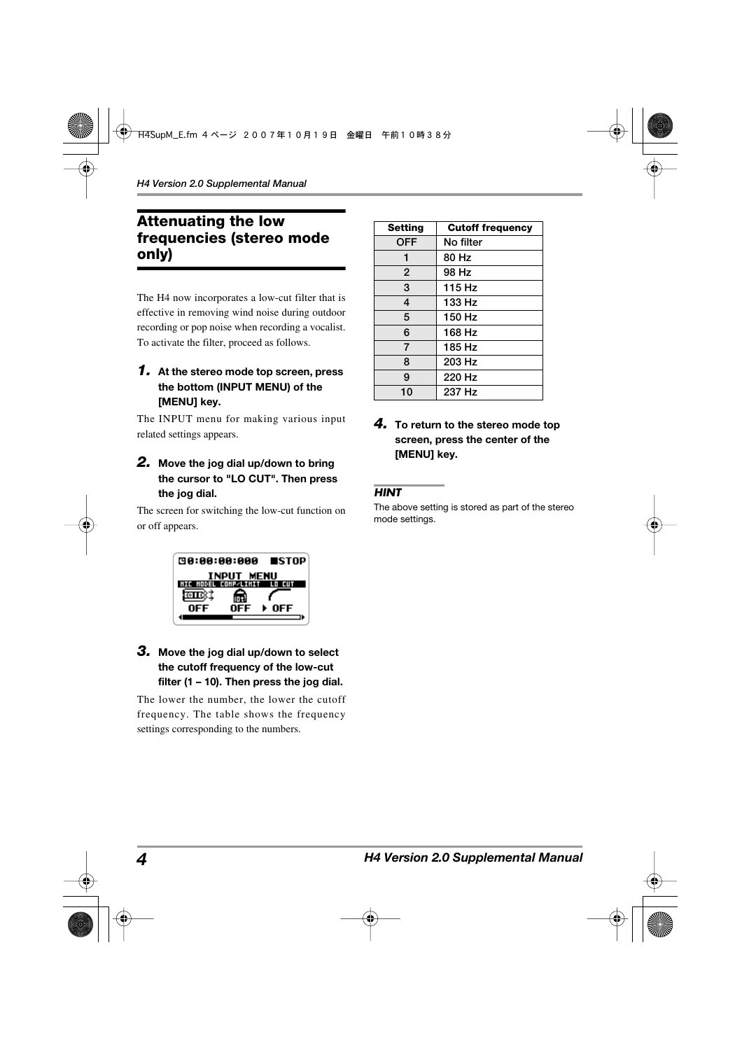### **Attenuating the low frequencies (stereo mode only)**

The H4 now incorporates a low-cut filter that is effective in removing wind noise during outdoor recording or pop noise when recording a vocalist. To activate the filter, proceed as follows.

#### *1.* **At the stereo mode top screen, press the bottom (INPUT MENU) of the [MENU] key.**

The INPUT menu for making various input related settings appears.

#### *2.* **Move the jog dial up/down to bring the cursor to "LO CUT". Then press the jog dial.**

The screen for switching the low-cut function on or off appears.



#### *3.* **Move the jog dial up/down to select the cutoff frequency of the low-cut filter (1 – 10). Then press the jog dial.**

The lower the number, the lower the cutoff frequency. The table shows the frequency settings corresponding to the numbers.

| <b>Setting</b> | <b>Cutoff frequency</b> |
|----------------|-------------------------|
| <b>OFF</b>     | No filter               |
| 1              | 80 Hz                   |
| $\overline{2}$ | 98 Hz                   |
| 3              | 115 Hz                  |
| 4              | 133 Hz                  |
| 5              | 150 Hz                  |
| 6              | 168 Hz                  |
| $\overline{7}$ | 185 Hz                  |
| 8              | 203 Hz                  |
| 9              | 220 Hz                  |
| 10             | 237 Hz                  |

#### *4.* **To return to the stereo mode top screen, press the center of the [MENU] key.**

#### *HINT*

The above setting is stored as part of the stereo mode settings.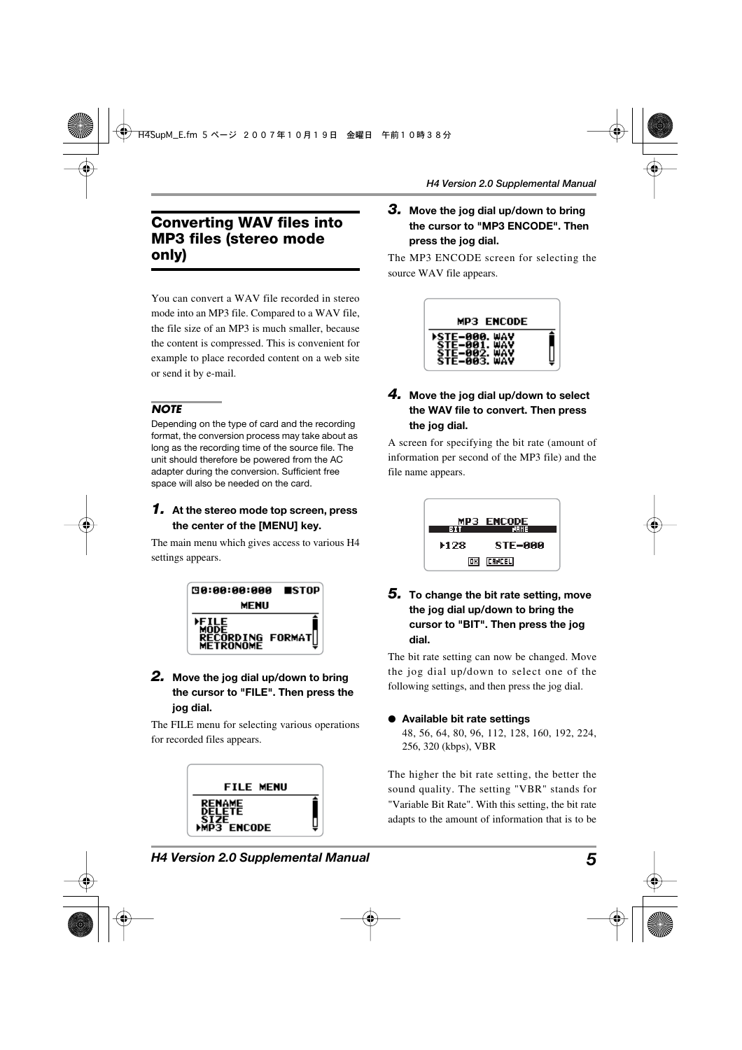### **Converting WAV files into MP3 files (stereo mode only)**

You can convert a WAV file recorded in stereo mode into an MP3 file. Compared to a WAV file, the file size of an MP3 is much smaller, because the content is compressed. This is convenient for example to place recorded content on a web site or send it by e-mail.

#### *NOTE*

Depending on the type of card and the recording format, the conversion process may take about as long as the recording time of the source file. The unit should therefore be powered from the AC adapter during the conversion. Sufficient free space will also be needed on the card.

#### *1.* **At the stereo mode top screen, press the center of the [MENU] key.**

The main menu which gives access to various H4 settings appears.



#### *2.* **Move the jog dial up/down to bring the cursor to "FILE". Then press the jog dial.**

The FILE menu for selecting various operations for recorded files appears.



#### *3.* **Move the jog dial up/down to bring the cursor to "MP3 ENCODE". Then press the jog dial.**

The MP3 ENCODE screen for selecting the source WAV file appears.



#### *4.* **Move the jog dial up/down to select the WAV file to convert. Then press the jog dial.**

A screen for specifying the bit rate (amount of information per second of the MP3 file) and the file name appears.



*5.* **To change the bit rate setting, move the jog dial up/down to bring the cursor to "BIT". Then press the jog dial.** 

The bit rate setting can now be changed. Move the jog dial up/down to select one of the following settings, and then press the jog dial.

### ● **Available bit rate settings**

48, 56, 64, 80, 96, 112, 128, 160, 192, 224, 256, 320 (kbps), VBR

The higher the bit rate setting, the better the sound quality. The setting "VBR" stands for "Variable Bit Rate". With this setting, the bit rate adapts to the amount of information that is to be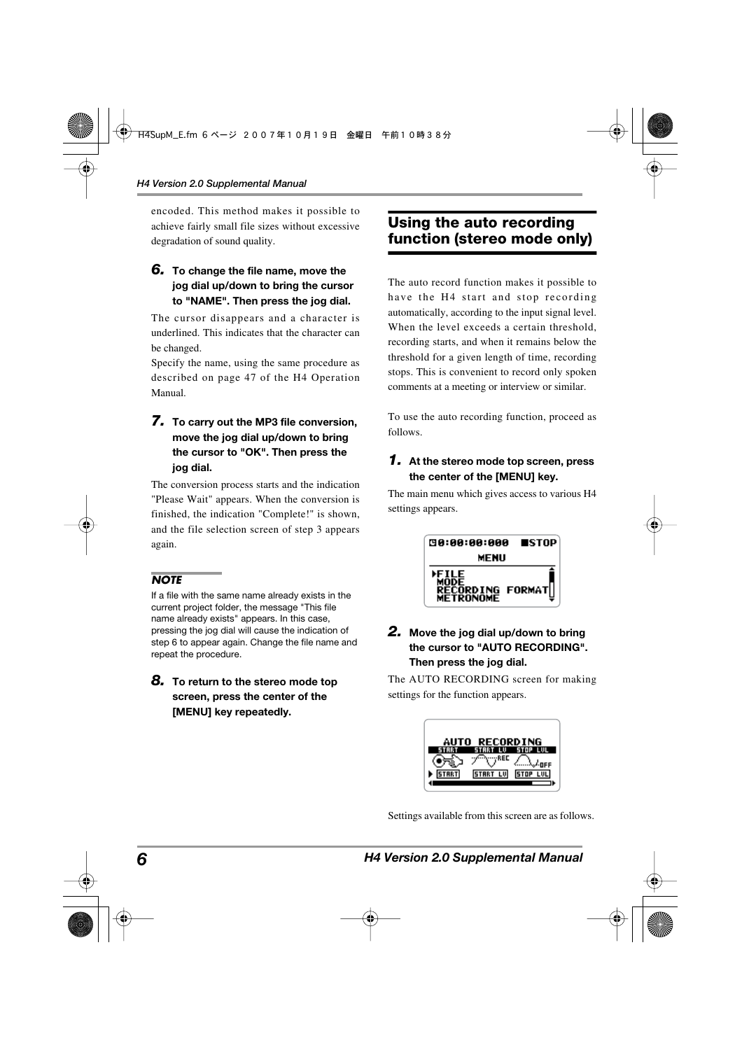encoded. This method makes it possible to achieve fairly small file sizes without excessive degradation of sound quality.

#### *6.* **To change the file name, move the jog dial up/down to bring the cursor to "NAME". Then press the jog dial.**

The cursor disappears and a character is underlined. This indicates that the character can be changed.

Specify the name, using the same procedure as described on page 47 of the H4 Operation Manual.

#### *7.* **To carry out the MP3 file conversion, move the jog dial up/down to bring the cursor to "OK". Then press the jog dial.**

The conversion process starts and the indication "Please Wait" appears. When the conversion is finished, the indication "Complete!" is shown, and the file selection screen of step 3 appears again.

#### *NOTE*

If a file with the same name already exists in the current project folder, the message "This file name already exists" appears. In this case, pressing the jog dial will cause the indication of step 6 to appear again. Change the file name and repeat the procedure.

*8.* **To return to the stereo mode top screen, press the center of the [MENU] key repeatedly.** 

## **Using the auto recording function (stereo mode only)**

The auto record function makes it possible to have the H4 start and stop recording automatically, according to the input signal level. When the level exceeds a certain threshold, recording starts, and when it remains below the threshold for a given length of time, recording stops. This is convenient to record only spoken comments at a meeting or interview or similar.

To use the auto recording function, proceed as follows.

#### *1.* **At the stereo mode top screen, press the center of the [MENU] key.**

The main menu which gives access to various H4 settings appears.



#### *2.* **Move the jog dial up/down to bring the cursor to "AUTO RECORDING". Then press the jog dial.**

The AUTO RECORDING screen for making settings for the function appears.

|       | AUTO RECORDING |             |
|-------|----------------|-------------|
|       | REC            | <b>NFF</b>  |
| STRRT |                | <b>STOP</b> |

Settings available from this screen are as follows.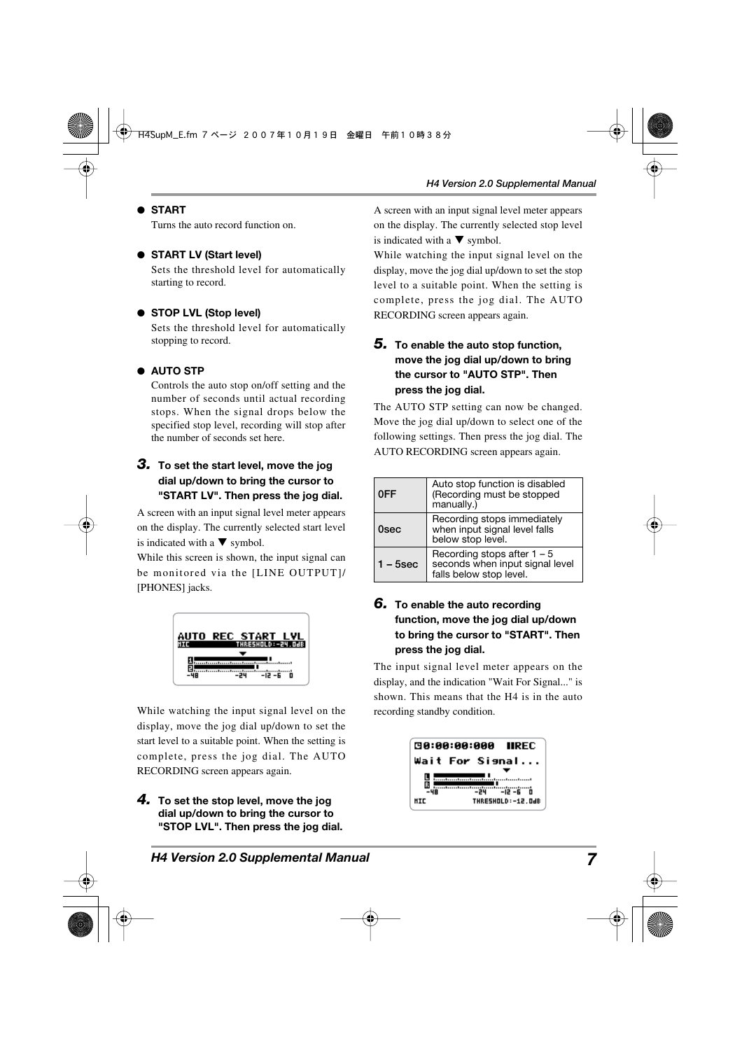#### ● **START**

Turns the auto record function on.

#### ● **START LV (Start level)**

Sets the threshold level for automatically starting to record.

#### ● **STOP LVL (Stop level)**

Sets the threshold level for automatically stopping to record.

#### ● **AUTO STP**

Controls the auto stop on/off setting and the number of seconds until actual recording stops. When the signal drops below the specified stop level, recording will stop after the number of seconds set here.

#### *3.* **To set the start level, move the jog dial up/down to bring the cursor to "START LV". Then press the jog dial.**

A screen with an input signal level meter appears on the display. The currently selected start level is indicated with a  $\nabla$  symbol.

While this screen is shown, the input signal can be monitored via the [LINE OUTPUT]/ [PHONES] jacks.



While watching the input signal level on the display, move the jog dial up/down to set the start level to a suitable point. When the setting is complete, press the jog dial. The AUTO RECORDING screen appears again.

*4.* **To set the stop level, move the jog dial up/down to bring the cursor to "STOP LVL". Then press the jog dial.**  A screen with an input signal level meter appears on the display. The currently selected stop level is indicated with a  $\nabla$  symbol.

While watching the input signal level on the display, move the jog dial up/down to set the stop level to a suitable point. When the setting is complete, press the jog dial. The AUTO RECORDING screen appears again.

#### *5.* **To enable the auto stop function, move the jog dial up/down to bring the cursor to "AUTO STP". Then press the jog dial.**

The AUTO STP setting can now be changed. Move the jog dial up/down to select one of the following settings. Then press the jog dial. The AUTO RECORDING screen appears again.

| 0FF         | Auto stop function is disabled<br>(Recording must be stopped<br>manually.)                  |
|-------------|---------------------------------------------------------------------------------------------|
| 0sec        | Recording stops immediately<br>when input signal level falls<br>below stop level.           |
| $1 - 5$ sec | Recording stops after $1 - 5$<br>seconds when input signal level<br>falls below stop level. |

#### *6.* **To enable the auto recording function, move the jog dial up/down to bring the cursor to "START". Then press the jog dial.**

The input signal level meter appears on the display, and the indication "Wait For Signal..." is shown. This means that the H4 is in the auto recording standby condition.

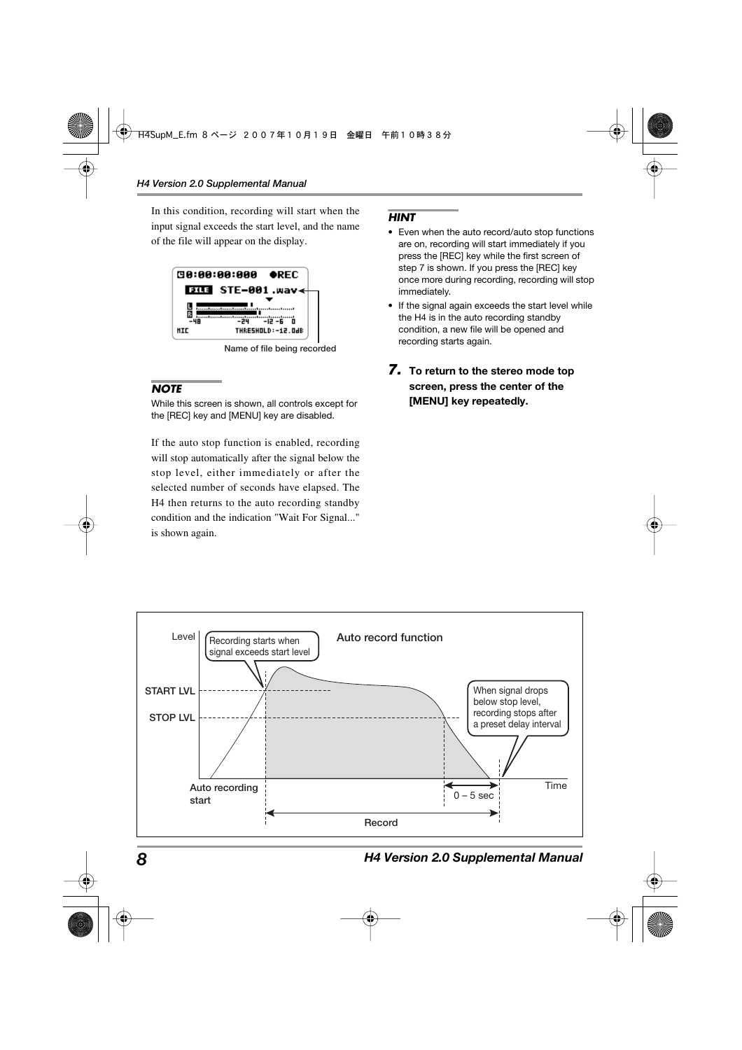In this condition, recording will start when the input signal exceeds the start level, and the name of the file will appear on the display.



**Name of file being recorded** 

#### *NOTE*

While this screen is shown, all controls except for the [REC] key and [MENU] key are disabled.

If the auto stop function is enabled, recording will stop automatically after the signal below the stop level, either immediately or after the selected number of seconds have elapsed. The H4 then returns to the auto recording standby condition and the indication "Wait For Signal..." is shown again.

#### *HINT*

- Even when the auto record/auto stop functions are on, recording will start immediately if you press the [REC] key while the first screen of step 7 is shown. If you press the [REC] key once more during recording, recording will stop immediately.
- If the signal again exceeds the start level while the H4 is in the auto recording standby condition, a new file will be opened and recording starts again.

#### *7.* **To return to the stereo mode top screen, press the center of the [MENU] key repeatedly.**



*8 H4 Version 2.0 Supplemental Manual*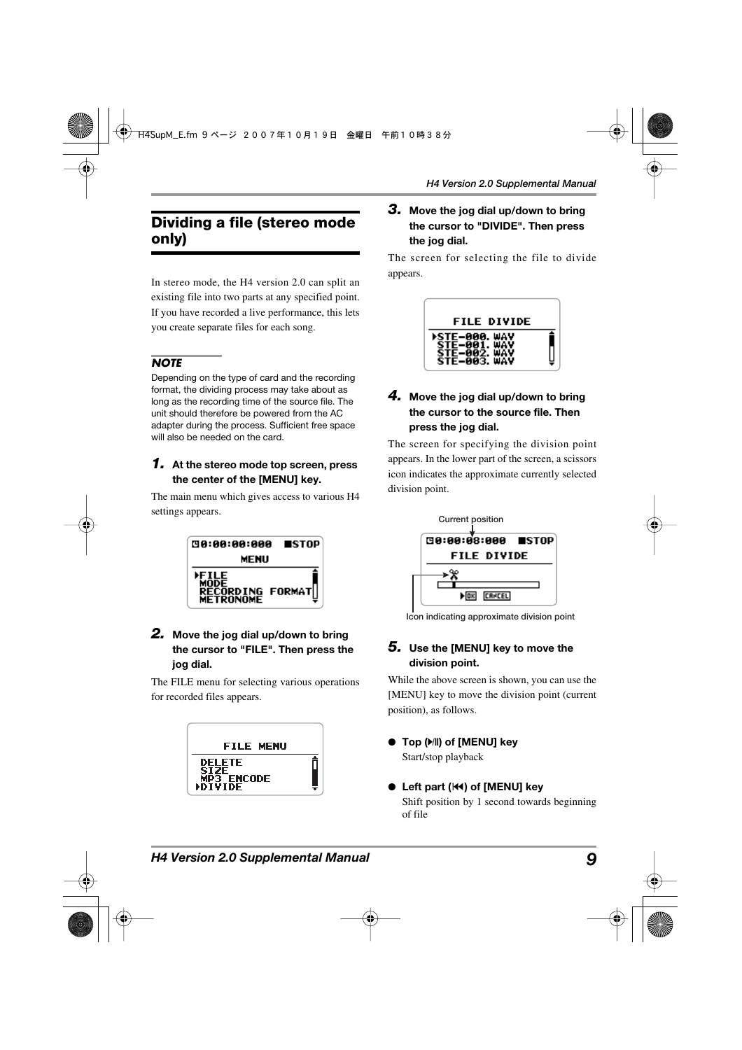# **Dividing a file (stereo mode only)**

In stereo mode, the H4 version 2.0 can split an existing file into two parts at any specified point. If you have recorded a live performance, this lets you create separate files for each song.

#### *NOTE*

Depending on the type of card and the recording format, the dividing process may take about as long as the recording time of the source file. The unit should therefore be powered from the AC adapter during the process. Sufficient free space will also be needed on the card.

#### *1.* **At the stereo mode top screen, press the center of the [MENU] key.**

The main menu which gives access to various H4 settings appears.



#### *2.* **Move the jog dial up/down to bring the cursor to "FILE". Then press the jog dial.**

The FILE menu for selecting various operations for recorded files appears.



#### *3.* **Move the jog dial up/down to bring the cursor to "DIVIDE". Then press the jog dial.**

The screen for selecting the file to divide appears.



#### *4.* **Move the jog dial up/down to bring the cursor to the source file. Then press the jog dial.**

The screen for specifying the division point appears. In the lower part of the screen, a scissors icon indicates the approximate currently selected division point.



**Icon indicating approximate division point** 

#### *5.* **Use the [MENU] key to move the division point.**

While the above screen is shown, you can use the [MENU] key to move the division point (current position), as follows.

- **Top (** $\blacktriangleright$ /ll) of [MENU] key Start/stop playback
- **Left part (**U**) of [MENU] key**  Shift position by 1 second towards beginning of file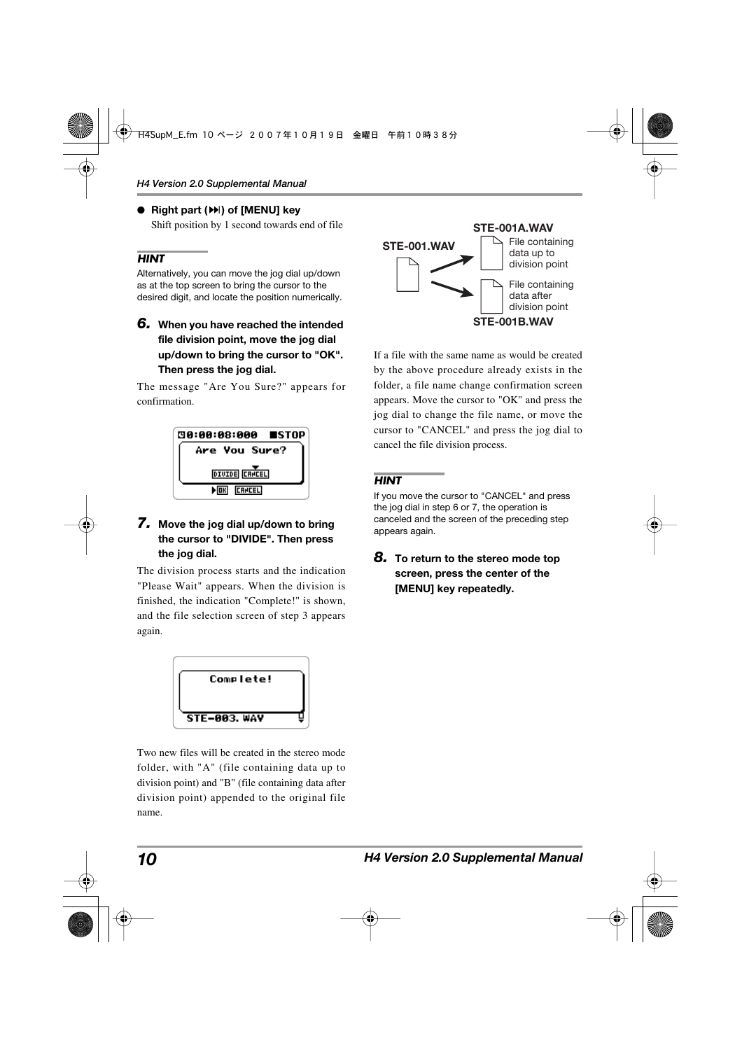# ● **Right part (**I**) of [MENU] key**

Shift position by 1 second towards end of file

#### *HINT*

Alternatively, you can move the jog dial up/down as at the top screen to bring the cursor to the desired digit, and locate the position numerically.

*6.* **When you have reached the intended file division point, move the jog dial up/down to bring the cursor to "OK". Then press the jog dial.** 

The message "Are You Sure?" appears for confirmation.



#### *7.* **Move the jog dial up/down to bring the cursor to "DIVIDE". Then press the jog dial.**

The division process starts and the indication "Please Wait" appears. When the division is finished, the indication "Complete!" is shown, and the file selection screen of step 3 appears again.



Two new files will be created in the stereo mode folder, with "A" (file containing data up to division point) and "B" (file containing data after division point) appended to the original file name.



If a file with the same name as would be created by the above procedure already exists in the folder, a file name change confirmation screen appears. Move the cursor to "OK" and press the jog dial to change the file name, or move the cursor to "CANCEL" and press the jog dial to cancel the file division process.

#### *HINT*

If you move the cursor to "CANCEL" and press the jog dial in step 6 or 7, the operation is canceled and the screen of the preceding step appears again.

*8.* **To return to the stereo mode top screen, press the center of the [MENU] key repeatedly.**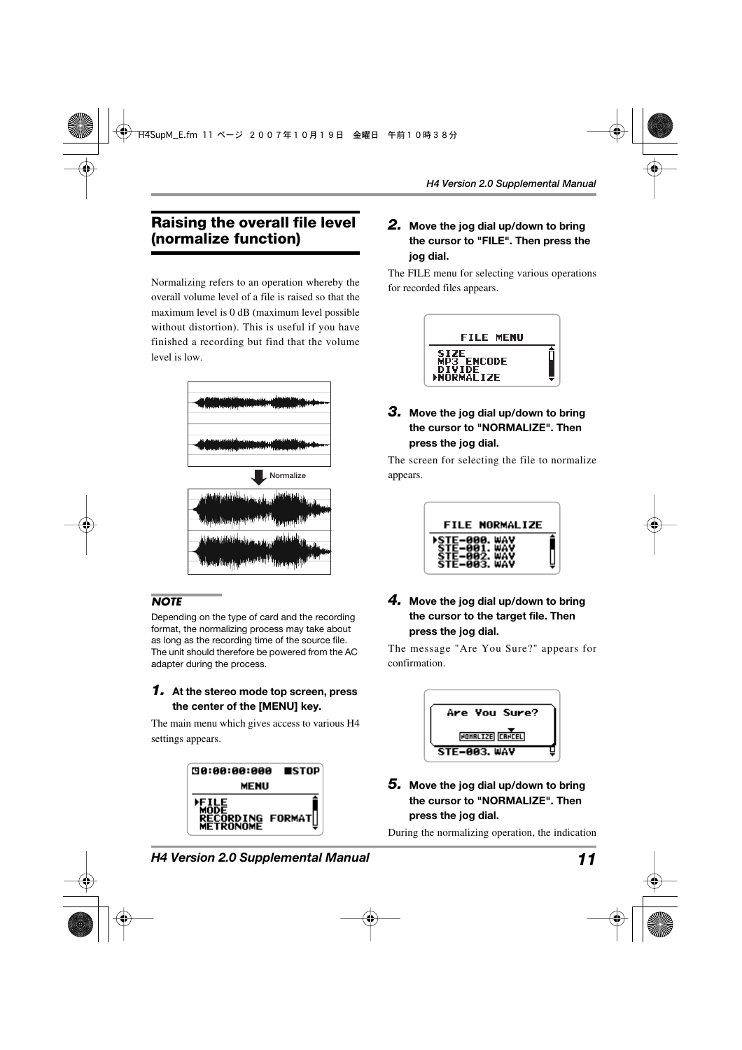# **Raising the overall file level (normalize function)**

Normalizing refers to an operation whereby the overall volume level of a file is raised so that the maximum level is 0 dB (maximum level possible without distortion). This is useful if you have finished a recording but find that the volume level is low.



#### *NOTE*

Depending on the type of card and the recording format, the normalizing process may take about as long as the recording time of the source file. The unit should therefore be powered from the AC adapter during the process.

#### *1.* **At the stereo mode top screen, press the center of the [MENU] key.**

The main menu which gives access to various H4 settings appears.



#### *2.* **Move the jog dial up/down to bring the cursor to "FILE". Then press the jog dial.**

The FILE menu for selecting various operations for recorded files appears.



#### *3.* **Move the jog dial up/down to bring the cursor to "NORMALIZE". Then press the jog dial.**

The screen for selecting the file to normalize appears.



#### *4.* **Move the jog dial up/down to bring the cursor to the target file. Then press the jog dial.**

The message "Are You Sure?" appears for confirmation.



#### *5.* **Move the jog dial up/down to bring the cursor to "NORMALIZE". Then press the jog dial.**

During the normalizing operation, the indication